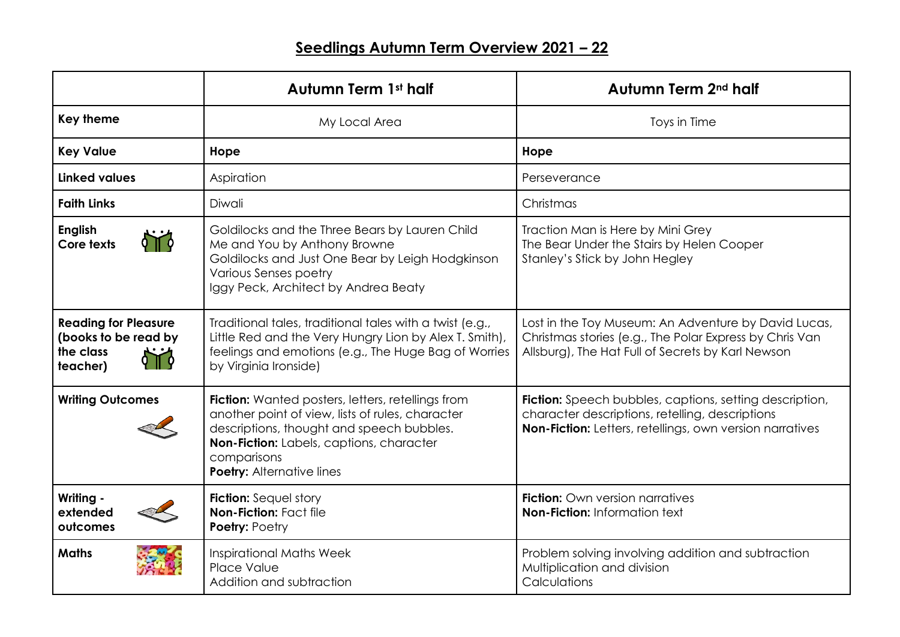|                                                                              | <b>Autumn Term 1st half</b>                                                                                                                                                                                                                              | Autumn Term 2 <sup>nd</sup> half                                                                                                                                              |
|------------------------------------------------------------------------------|----------------------------------------------------------------------------------------------------------------------------------------------------------------------------------------------------------------------------------------------------------|-------------------------------------------------------------------------------------------------------------------------------------------------------------------------------|
| <b>Key theme</b>                                                             | My Local Area                                                                                                                                                                                                                                            | Toys in Time                                                                                                                                                                  |
| <b>Key Value</b>                                                             | Hope                                                                                                                                                                                                                                                     | Hope                                                                                                                                                                          |
| <b>Linked values</b>                                                         | Aspiration                                                                                                                                                                                                                                               | Perseverance                                                                                                                                                                  |
| <b>Faith Links</b>                                                           | Diwali                                                                                                                                                                                                                                                   | Christmas                                                                                                                                                                     |
| <b>English</b><br>Core texts                                                 | Goldilocks and the Three Bears by Lauren Child<br>Me and You by Anthony Browne<br>Goldilocks and Just One Bear by Leigh Hodgkinson<br><b>Various Senses poetry</b><br>Iggy Peck, Architect by Andrea Beaty                                               | Traction Man is Here by Mini Grey<br>The Bear Under the Stairs by Helen Cooper<br>Stanley's Stick by John Hegley                                                              |
| <b>Reading for Pleasure</b><br>(books to be read by<br>the class<br>teacher) | Traditional tales, traditional tales with a twist (e.g.,<br>Little Red and the Very Hungry Lion by Alex T. Smith),<br>feelings and emotions (e.g., The Huge Bag of Worries<br>by Virginia Ironside)                                                      | Lost in the Toy Museum: An Adventure by David Lucas,<br>Christmas stories (e.g., The Polar Express by Chris Van<br>Allsburg), The Hat Full of Secrets by Karl Newson          |
| <b>Writing Outcomes</b>                                                      | <b>Fiction:</b> Wanted posters, letters, retellings from<br>another point of view, lists of rules, character<br>descriptions, thought and speech bubbles.<br>Non-Fiction: Labels, captions, character<br>comparisons<br><b>Poetry: Alternative lines</b> | <b>Fiction:</b> Speech bubbles, captions, setting description,<br>character descriptions, retelling, descriptions<br>Non-Fiction: Letters, retellings, own version narratives |
| Writing -<br>extended<br>outcomes                                            | <b>Fiction:</b> Sequel story<br>Non-Fiction: Fact file<br><b>Poetry: Poetry</b>                                                                                                                                                                          | <b>Fiction:</b> Own version narratives<br><b>Non-Fiction: Information text</b>                                                                                                |
| <b>Maths</b>                                                                 | <b>Inspirational Maths Week</b><br>Place Value<br>Addition and subtraction                                                                                                                                                                               | Problem solving involving addition and subtraction<br>Multiplication and division<br>Calculations                                                                             |